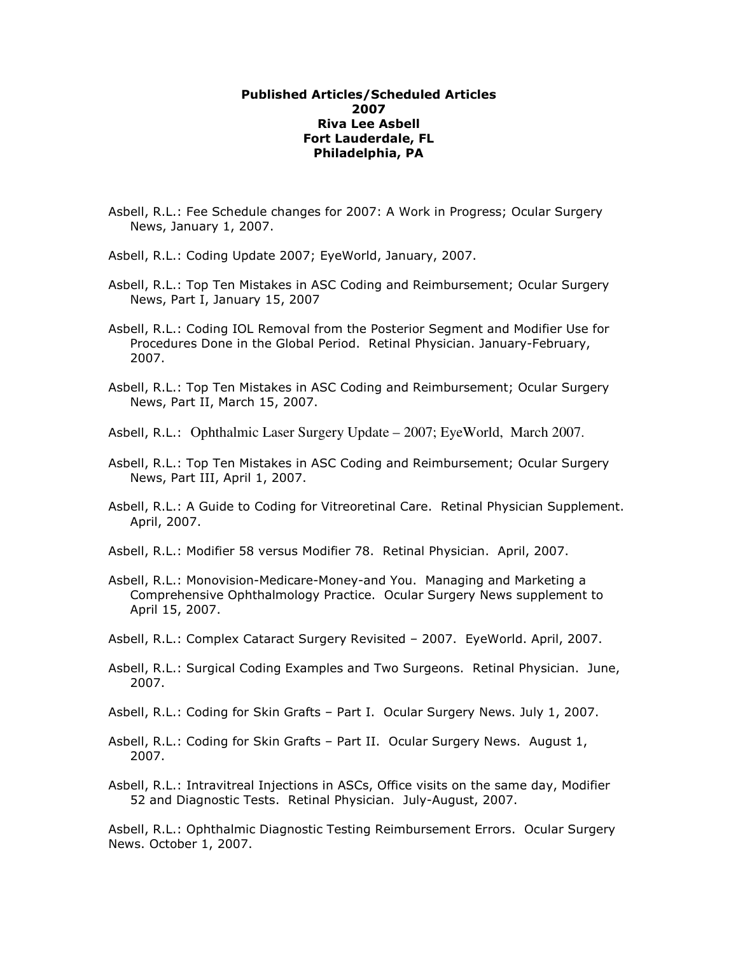## Published Articles/Scheduled Articles 2007 Riva Lee Asbell Fort Lauderdale, FL Philadelphia, PA

- Asbell, R.L.: Fee Schedule changes for 2007: A Work in Progress; Ocular Surgery News, January 1, 2007.
- Asbell, R.L.: Coding Update 2007; EyeWorld, January, 2007.
- Asbell, R.L.: Top Ten Mistakes in ASC Coding and Reimbursement; Ocular Surgery News, Part I, January 15, 2007
- Asbell, R.L.: Coding IOL Removal from the Posterior Segment and Modifier Use for Procedures Done in the Global Period. Retinal Physician. January-February, 2007.
- Asbell, R.L.: Top Ten Mistakes in ASC Coding and Reimbursement; Ocular Surgery News, Part II, March 15, 2007.
- Asbell, R.L.: Ophthalmic Laser Surgery Update 2007; EyeWorld, March 2007.
- Asbell, R.L.: Top Ten Mistakes in ASC Coding and Reimbursement; Ocular Surgery News, Part III, April 1, 2007.
- Asbell, R.L.: A Guide to Coding for Vitreoretinal Care. Retinal Physician Supplement. April, 2007.
- Asbell, R.L.: Modifier 58 versus Modifier 78. Retinal Physician. April, 2007.
- Asbell, R.L.: Monovision-Medicare-Money-and You. Managing and Marketing a Comprehensive Ophthalmology Practice. Ocular Surgery News supplement to April 15, 2007.
- Asbell, R.L.: Complex Cataract Surgery Revisited 2007. EyeWorld. April, 2007.
- Asbell, R.L.: Surgical Coding Examples and Two Surgeons. Retinal Physician. June, 2007.
- Asbell, R.L.: Coding for Skin Grafts Part I. Ocular Surgery News. July 1, 2007.
- Asbell, R.L.: Coding for Skin Grafts Part II. Ocular Surgery News. August 1, 2007.
- Asbell, R.L.: Intravitreal Injections in ASCs, Office visits on the same day, Modifier 52 and Diagnostic Tests. Retinal Physician. July-August, 2007.

Asbell, R.L.: Ophthalmic Diagnostic Testing Reimbursement Errors. Ocular Surgery News. October 1, 2007.